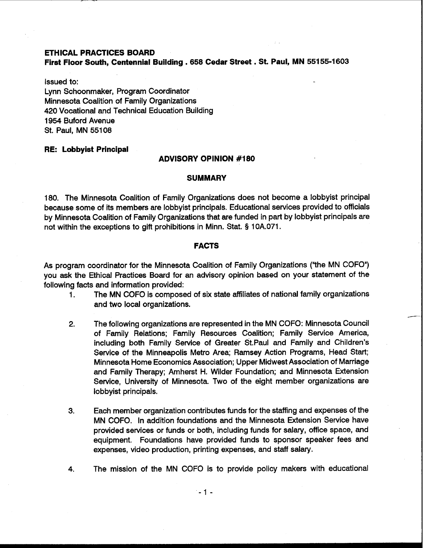# **ETHICAL PRACTICES BOARD First Floor South, Centennial Building** . **658 Cedar Street** . **St. Paul, MN 55155-1603**

Issued to: Lynn Schoonmaker, Program Coordinator Minnesota Coalition of Family Organizations 420 Vocational and Technical Education Building 1954 Buford Avenue St. Paul, MN 551 08

### **RE: Lobbyist Principal**

### **ADVISORY OPINION #I80**

#### **SUMMARY**

180. The Minnesota Coalition of Family Organizations does not become a lobbyist principal because some of its members are lobbyist principals. Educational services provided to officials by Minnesota Coalition of Family Organizations that are funded in part by lobbyist principals are not within the exceptions to gift prohibitions in Minn. Stat. **9** 10A.071.

### **FACTS**

As program coordinator for the Minnesota Coalition of Family Organizations ("the MN COFO") you ask the Ethical Practices Board for an advisory opinion based on your statement of the following facts and information provided:

- **1.** The MN COFO is composed of six state affiliates of national family organizations and two local organizations.
- 2. The following organizations are represented in the MN COFO: Minnesota Council of Family Relations; Family Resources Coalition; Family Service America, including both Family Service of Greater St. Paul and Family and Children's Service of the Minneapolis Metro Area; Ramsey Action Programs, Head Start; Minnesota Home Economics Association; Upper Midwest Association of Marriage and Family Therapy; Amherst H. Wilder Foundation; and Minnesota Extension Service, University of Minnesota. Two of the eight member organizations are lobbyist principals.
- **3.** Each member organization contributes funds for the staffing and expenses of the MN COFO. In addition foundations and the Minnesota Extension Service have provided services or funds or both, including funds for salary, office space, and equipment. Foundations have provided funds to sponsor speaker fees and expenses, video production, printing expenses, and staff salary.
- **4.** The mission of the MN COFO is to provide policy makers with educational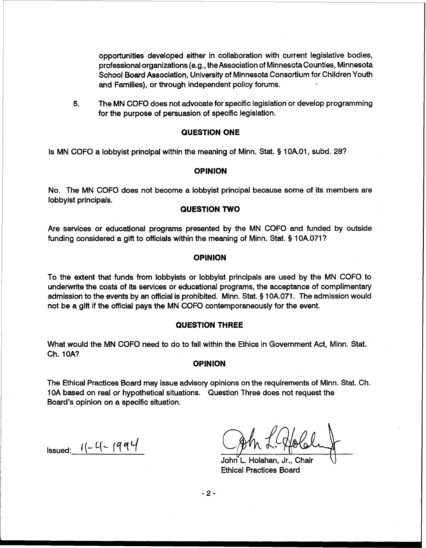opportunities developed either in collaboration with current legislative bodies, professional organizations (e.g., the Association of Minnesotacounties, Minnesota School Board Association, University of Minnesota Consortium for Children Youth and Families), or through independent policy forums.

**5.** The MN COFO does not advocate for specific legislation or develop programming for the purpose of persuasion of specific legislation.

## **QUESTION ONE**

Is MN COFO a lobbyist principal within the meaning of Minn. Stat. § 1 OA.O1, subd. 28?

### **OPINION**

No. The MN COFO does not become a lobbyist principal because some of its members are lobbyist principals.

### **QUESTION TWO**

Are services or educational programs presented by the MN COFO and funded by outside funding considered a gift to officials within the meaning of Minn. Stat. § 10A.071?

### **OPINION**

To the extent that funds from lobbyists or lobbyist principals are used by the MN COFO to underwrite the costs of its services or educational programs, the acceptance of complimentary admission to the events by an official is prohibited. Minn. Stat. **5** 10A.071. The admission would not be a gift if the official pays the MN COFO contemporaneously for the event.

#### **QUESTION THREE**

What would the MN COFO need to do to fall within the Ethics in Government Act, Minn. Stat. Ch. IOA?

#### **OPINION**

The Ethical Practices Board may issue advisory opinions on the requirements of Minn. Stat. Ch. 10A based on real or hypothetical situations. Question Three does not request the Board's opinion on a specific situation.

Issued:  $1/-$  4 - 1994

John L. Holahan, Jr., Chair Ethical Practices Board

 $-2-$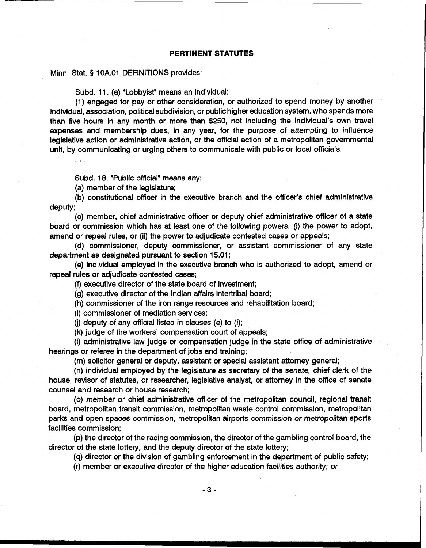Minn. Stat. § 1 OA.O1 DEFINITIONS provides:

Subd. 11. (a) "Lobbyist" means an individual:

(1) engaged for pay or other consideration, or authorized to spend money by another individual, association, political subdivision, or public higher education system, who spends more than five hours in any month or more than \$250, not including the individual's own travel expenses and membership dues, in any year, for the purpose of attempting to influence legislative action or administrative action, or the official action of a metropolitan governmental unit, by communicating or urging others to communicate with public or local officials.

 $\mathbf{1}$ 

Subd. 18. "Public official" means any:

(a) member of the legislature;

(b) constitutional officer in the executive branch and the officer's chief administrative deputy;

(c) member, chief administrative officer or deputy chief administrative officer of a state board or commission which has at least one of the following powers: (i) the power to adopt, amend or repeal rules, or (ii) the power to adjudicate contested cases or appeals;

(d) commissioner, deputy commissioner, or assistant commissioner of any state department as designated pursuant to section 15.01 ;

(e) individual employed in the executive branch who is authorized to adopt, amend or repeal rules or adjudicate contested cases;

(9 executive director of the state board of investment;

(g) executive director of the Indian affairs intertribal board;

(h) commissioner of the iron range resources and rehabilitation board;

(i) commissioner of mediation services;

(j) deputy of any official listed in clauses (e) to (i);

(k) judge of the workers' compensation court of appeals;

(I) administrative law judge or compensation judge in the state office of administrative hearings or referee in the department of jobs and training;

(m) solicitor general or deputy, assistant or special assistant attorney general;

(n) individual employed by the legislature. as secretary of the senate, chief clerk of the house, revisor of statutes, or researcher, legislative analyst, or attorney in the office of senate counsel and research or house research;

(0) member or chief administrative officer of the metropolitan council, regional transit board, metropolitan transit commission, metropolitan waste control commission, metropolitan parks and open spaces commission, metropolitan airports commission or metropolitan sports facilities commission;

(p) the director of the racing commission, the director of the gambling control board, the director of the state lottery, and the deputy director of the state lottery;

(q) director or the division of gambling enforcement in the department of public safety;

(r) member or executive director of the higher education facilities authority; or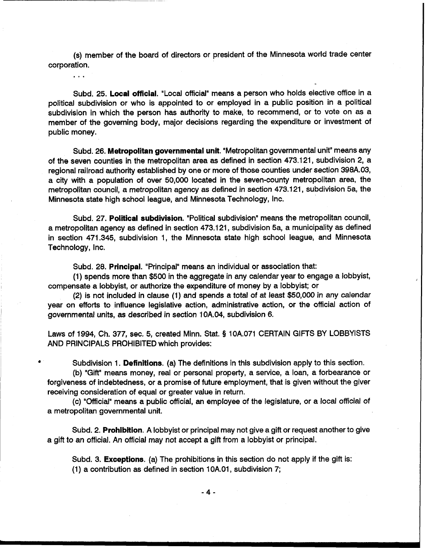(s) member of the board of directors or president of the Minnesota world trade center corporation.

. . .

Subd. 25. **Local official.** "Local official" means a person who holds elective office in a political subdivision or who is appointed to or employed in a public position in a political subdivision in which the person has authority to make, to recommend, or to vote on as a member of the governing body, major decisions regarding the expenditure or investment of public money.

Subd. 26. **Metropolitan governmental unit.** "Metropolitan governmental unit" means any of the seven counties in the metropolitan area as defined in section 473.121, subdivision 2, a regional railroad authority established by one or more of those counties under section 398A.03, a city with a population of over 50,000 located in the seven-county metropolitan area, the metropolitan council, a metropolitan agency as defined in section 473.121, subdivision 5a, the Minnesota state high school league, and Minnesota Technology, Inc.

Subd. 27. **Political subdivision.** "Political subdivision" means the metropolitan council, a metropolitan agency as defined in section 473.121, subdivision 5a, a municipality as defined in section 471.345, subdivision 1, the Minnesota state high school league, and Minnesota Technology, Inc.

Subd. 28. **Principal.** "Principal" means an individual or association that:

(1) spends more than \$500 in the aggregate in any calendar year to engage a lobbyist, <sup>I</sup> compensate a lobbyist, or authorize the expenditure of money by a lobbyist; or

(2) is not included in clause (1) and spends a total of at least \$50,000 in any calendar year on efforts to influence legislative action, administrative action, or the official action of governmental units, as described in section 10A.04, subdivision 6.

Laws of 1994, Ch, 377, sec, 5, created Minn. Stat. **5** 10A.071 CERTAIN GIFTS BY LOBBYISTS AND PRINCIPALS PROHIBITED which provides:

Subdivision 1. **Definitions.** (a) The definitions in this subdivision apply to this section.

(b) "Gift" means money, real or personal property, a service, a loan, a forbearance or forgiveness of indebtedness, or a promise of future employment, that is given without the giver receiving consideration of equal or greater value in return.

(c) "Official" means a public official, an employee of the legislature, or a local official of a metropolitan governmental unit.

Subd. 2. **Prohibition.** A lobbyist or principal may not give a gift or request another to give a gift to an official. An official may not accept a gift from a lobbyist or principal.

Subd. 3. **Exceptions.** (a) The prohibitions in this section do not apply if the gift is: (1) a contribution as defined in section 1 0A.01, subdivision 7;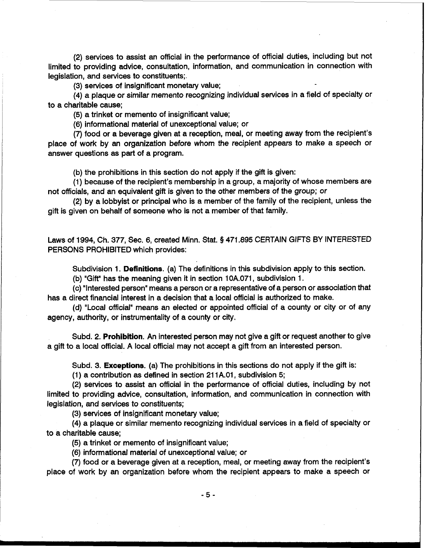(2) services to assist an official in the performance of official duties, including but not limited to providing advice, consultation, information, and communication in connection with legislation, and services to constituents;.

(3) services of insignificant monetary value;

(4) a plaque or similar memento recognizing individual services in a field of specialty or to a charitable cause;

(5) a trinket or memento of insignificant value;

(6) informational material of unexceptional value; or

(7) food or a beverage given at a reception, meal, or meeting away from the recipient's place of work by an organization before whom the recipient appears to make a speech or answer questions as part of a program.

(b) the prohibitions in this section do not apply if the gift is given:

(1) because of the recipient's membership in a group, a majority of whose members are not officials, and an equivalent gift is given to the other members of the group; or

(2) by a lobbyist or principal who is a member of the family of the recipient, unless the gift is given on behalf of someone who is not a member of that family.

Laws of 1994, Ch. 377, Sec. 6, created Minn. Stat. **9** 471.895 CERTAIN GIFTS BY INTERESTED PERSONS PROHIBITED which provides:

Subdivision 1. **Definitions.** (a) The definitions in this subdivision apply to this section.

(b) "Gift" has the meaning given it in section 10A.071, subdivision 1.

(c) "Interested person" means a person or a representative of a person or association that has a direct financial interest in a decision that a local official is authorized to make.

(d) "Local official" means an elected or appointed official of a county or city or of any agency, authority, or instrumentality of a county or city.

Subd. 2. **Prohibition.** An interested person may not give a gift or request another to give a gift to a local official. A local official may not accept a gift from an interested person.

Subd. 3. **Exceptions.** (a) The prohibitions in this sections do not apply if the gift is:

(1) a contribution as defined in section 21 1A.01, subdivision 5;

(2) services to assist an official in the performance of official duties, including by not limited to providing advice, consultation, information, and communication in connection with legislation, and services to constituents;

(3) services of insignificant monetary value;

(4) a plaque or similar memento recognizing individual services in a field of specialty or to a charitable cause;

(5) a trinket or memento of insignificant value;

(6) informational material of unexceptional value; or

(7) food or a beverage given at a reception, meal, or meeting away from the recipient's place of work by an organization before whom the recipient appears to make a speech or